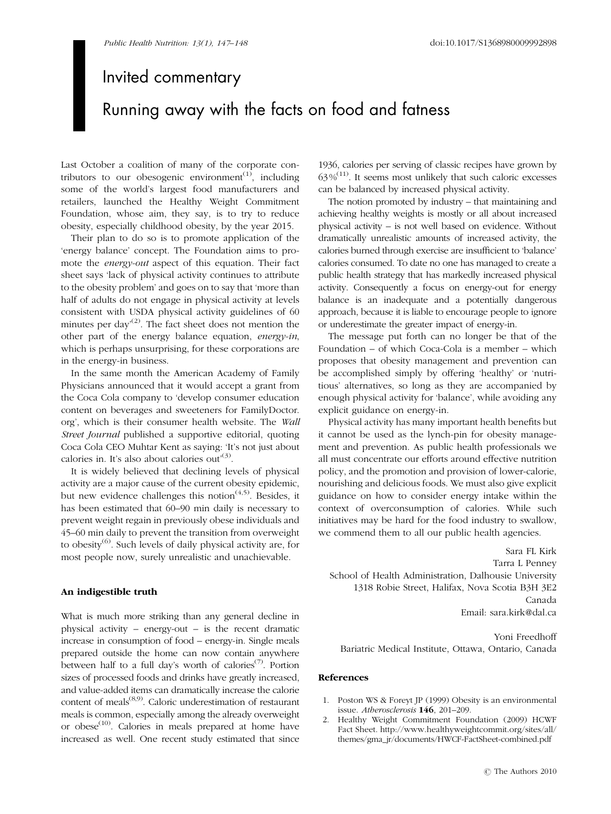## Invited commentary

## Running away with the facts on food and fatness

Last October a coalition of many of the corporate contributors to our obesogenic environment<sup> $(1)$ </sup>, including some of the world's largest food manufacturers and retailers, launched the Healthy Weight Commitment Foundation, whose aim, they say, is to try to reduce obesity, especially childhood obesity, by the year 2015.

Their plan to do so is to promote application of the 'energy balance' concept. The Foundation aims to promote the energy-out aspect of this equation. Their fact sheet says 'lack of physical activity continues to attribute to the obesity problem' and goes on to say that 'more than half of adults do not engage in physical activity at levels consistent with USDA physical activity guidelines of 60 minutes per day<sup>(2)</sup>. The fact sheet does not mention the other part of the energy balance equation, energy-in, which is perhaps unsurprising, for these corporations are in the energy-in business.

In the same month the American Academy of Family Physicians announced that it would accept a grant from the Coca Cola company to 'develop consumer education content on beverages and sweeteners for FamilyDoctor. org', which is their consumer health website. The Wall Street Journal published a supportive editorial, quoting Coca Cola CEO Muhtar Kent as saying: 'It's not just about calories in. It's also about calories out<sup> $(3)$ </sup>.

It is widely believed that declining levels of physical activity are a major cause of the current obesity epidemic, but new evidence challenges this notion<sup> $(4,5)$ </sup>. Besides, it has been estimated that 60–90 min daily is necessary to prevent weight regain in previously obese individuals and 45–60 min daily to prevent the transition from overweight to obesity $^{(6)}$ . Such levels of daily physical activity are, for most people now, surely unrealistic and unachievable.

## An indigestible truth

What is much more striking than any general decline in physical activity – energy-out – is the recent dramatic increase in consumption of food – energy-in. Single meals prepared outside the home can now contain anywhere between half to a full day's worth of calories<sup> $(7)$ </sup>. Portion sizes of processed foods and drinks have greatly increased, and value-added items can dramatically increase the calorie content of meals<sup>(8,9)</sup>. Caloric underestimation of restaurant meals is common, especially among the already overweight or obese<sup>(10)</sup>. Calories in meals prepared at home have increased as well. One recent study estimated that since

1936, calories per serving of classic recipes have grown by  $63\%^{(11)}$ . It seems most unlikely that such caloric excesses can be balanced by increased physical activity.

The notion promoted by industry – that maintaining and achieving healthy weights is mostly or all about increased physical activity – is not well based on evidence. Without dramatically unrealistic amounts of increased activity, the calories burned through exercise are insufficient to 'balance' calories consumed. To date no one has managed to create a public health strategy that has markedly increased physical activity. Consequently a focus on energy-out for energy balance is an inadequate and a potentially dangerous approach, because it is liable to encourage people to ignore or underestimate the greater impact of energy-in.

The message put forth can no longer be that of the Foundation – of which Coca-Cola is a member – which proposes that obesity management and prevention can be accomplished simply by offering 'healthy' or 'nutritious' alternatives, so long as they are accompanied by enough physical activity for 'balance', while avoiding any explicit guidance on energy-in.

Physical activity has many important health benefits but it cannot be used as the lynch-pin for obesity management and prevention. As public health professionals we all must concentrate our efforts around effective nutrition policy, and the promotion and provision of lower-calorie, nourishing and delicious foods. We must also give explicit guidance on how to consider energy intake within the context of overconsumption of calories. While such initiatives may be hard for the food industry to swallow, we commend them to all our public health agencies.

Sara FL Kirk Tarra L Penney School of Health Administration, Dalhousie University 1318 Robie Street, Halifax, Nova Scotia B3H 3E2 Canada Email: sara.kirk@dal.ca

Yoni Freedhoff Bariatric Medical Institute, Ottawa, Ontario, Canada

## References

- 1. Poston WS & Foreyt JP (1999) Obesity is an environmental issue. Atherosclerosis 146, 201–209.
- 2. Healthy Weight Commitment Foundation (2009) HCWF Fact Sheet. http://www.healthyweightcommit.org/sites/all/ themes/gma\_jr/documents/HWCF-FactSheet-combined.pdf